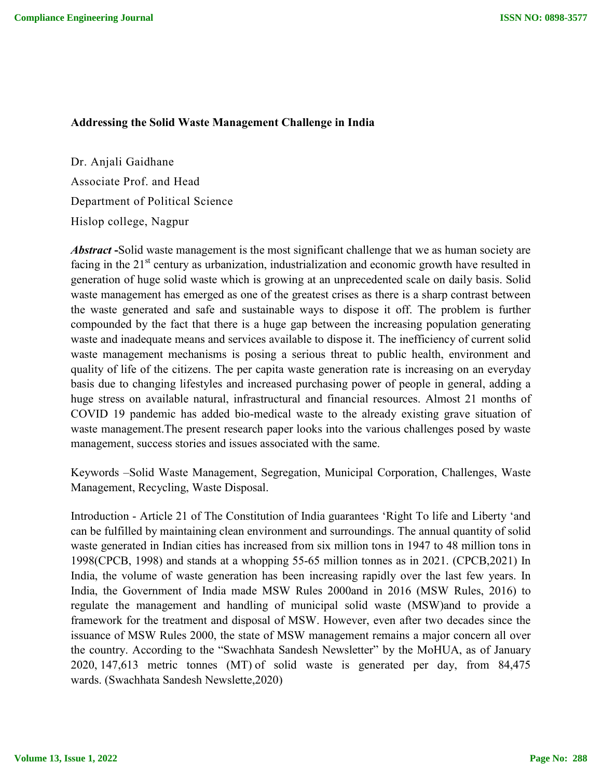## **Addressing the Solid Waste Management Challenge in India**

Dr. Anjali Gaidhane Associate Prof. and Head Department of Political Science Hislop college, Nagpur

*Abstract* **-**Solid waste management is the most significant challenge that we as human society are facing in the  $21<sup>st</sup>$  century as urbanization, industrialization and economic growth have resulted in generation of huge solid waste which is growing at an unprecedented scale on daily basis. Solid waste management has emerged as one of the greatest crises as there is a sharp contrast between the waste generated and safe and sustainable ways to dispose it off. The problem is further compounded by the fact that there is a huge gap between the increasing population generating waste and inadequate means and services available to dispose it. The inefficiency of current solid waste management mechanisms is posing a serious threat to public health, environment and quality of life of the citizens. The per capita waste generation rate is increasing on an everyday basis due to changing lifestyles and increased purchasing power of people in general, adding a huge stress on available natural, infrastructural and financial resources. Almost 21 months of COVID 19 pandemic has added bio-medical waste to the already existing grave situation of waste management.The present research paper looks into the various challenges posed by waste management, success stories and issues associated with the same.

Keywords –Solid Waste Management, Segregation, Municipal Corporation, Challenges, Waste Management, Recycling, Waste Disposal.

Introduction - Article 21 of The Constitution of India guarantees 'Right To life and Liberty 'and can be fulfilled by maintaining clean environment and surroundings. The annual quantity of solid waste generated in Indian cities has increased from six million tons in 1947 to 48 million tons in 1998(CPCB, 1998) and stands at a whopping 55-65 million tonnes as in 2021. (CPCB,2021) In India, the volume of waste generation has been increasing rapidly over the last few years. In India, the Government of India made MSW Rules 2000and in 2016 (MSW Rules, 2016) to regulate the management and handling of municipal solid waste (MSW)and to provide a framework for the treatment and disposal of MSW. However, even after two decades since the issuance of MSW Rules 2000, the state of MSW management remains a major concern all over the country. According to the "Swachhata Sandesh Newsletter" by the MoHUA, as of January 2020, 147,613 metric tonnes (MT) of solid waste is generated per day, from 84,475 wards. (Swachhata Sandesh Newslette,2020)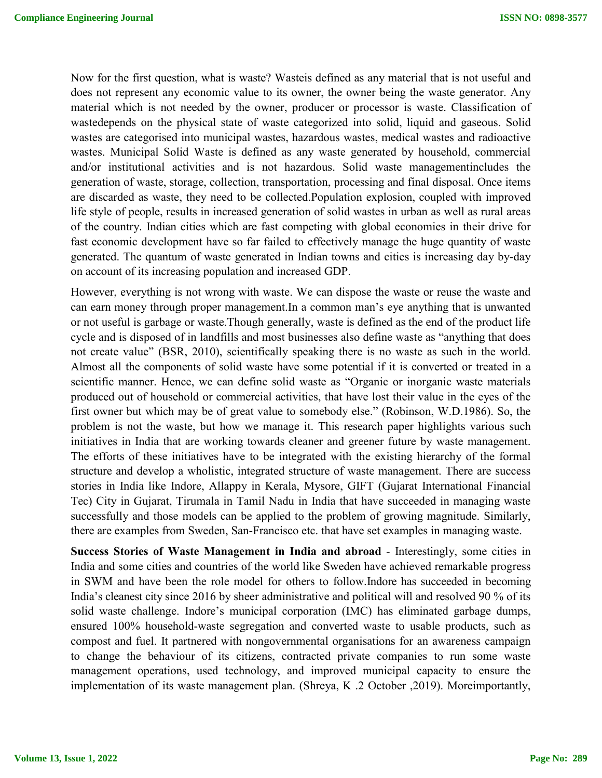Now for the first question, what is waste? Wasteis defined as any material that is not useful and does not represent any economic value to its owner, the owner being the waste generator. Any material which is not needed by the owner, producer or processor is waste. Classification of wastedepends on the physical state of waste categorized into solid, liquid and gaseous. Solid wastes are categorised into municipal wastes, hazardous wastes, medical wastes and radioactive wastes. Municipal Solid Waste is defined as any waste generated by household, commercial and/or institutional activities and is not hazardous. Solid waste managementincludes the generation of waste, storage, collection, transportation, processing and final disposal. Once items are discarded as waste, they need to be collected.Population explosion, coupled with improved life style of people, results in increased generation of solid wastes in urban as well as rural areas of the country. Indian cities which are fast competing with global economies in their drive for fast economic development have so far failed to effectively manage the huge quantity of waste generated. The quantum of waste generated in Indian towns and cities is increasing day by-day on account of its increasing population and increased GDP.

However, everything is not wrong with waste. We can dispose the waste or reuse the waste and can earn money through proper management.In a common man's eye anything that is unwanted or not useful is garbage or waste.Though generally, waste is defined as the end of the product life cycle and is disposed of in landfills and most businesses also define waste as "anything that does not create value" (BSR, 2010), scientifically speaking there is no waste as such in the world. Almost all the components of solid waste have some potential if it is converted or treated in a scientific manner. Hence, we can define solid waste as "Organic or inorganic waste materials produced out of household or commercial activities, that have lost their value in the eyes of the first owner but which may be of great value to somebody else." (Robinson, W.D.1986). So, the problem is not the waste, but how we manage it. This research paper highlights various such initiatives in India that are working towards cleaner and greener future by waste management. The efforts of these initiatives have to be integrated with the existing hierarchy of the formal structure and develop a wholistic, integrated structure of waste management. There are success stories in India like Indore, Allappy in Kerala, Mysore, GIFT (Gujarat International Financial Tec) City in Gujarat, Tirumala in Tamil Nadu in India that have succeeded in managing waste successfully and those models can be applied to the problem of growing magnitude. Similarly, there are examples from Sweden, San-Francisco etc. that have set examples in managing waste.

**Success Stories of Waste Management in India and abroad** - Interestingly, some cities in India and some cities and countries of the world like Sweden have achieved remarkable progress in SWM and have been the role model for others to follow.Indore has succeeded in becoming India's cleanest city since 2016 by sheer administrative and political will and resolved 90 % of its solid waste challenge. Indore's municipal corporation (IMC) has eliminated garbage dumps, ensured 100% household-waste segregation and converted waste to usable products, such as compost and fuel. It partnered with nongovernmental organisations for an awareness campaign to change the behaviour of its citizens, contracted private companies to run some waste management operations, used technology, and improved municipal capacity to ensure the implementation of its waste management plan. (Shreya, K .2 October ,2019). Moreimportantly,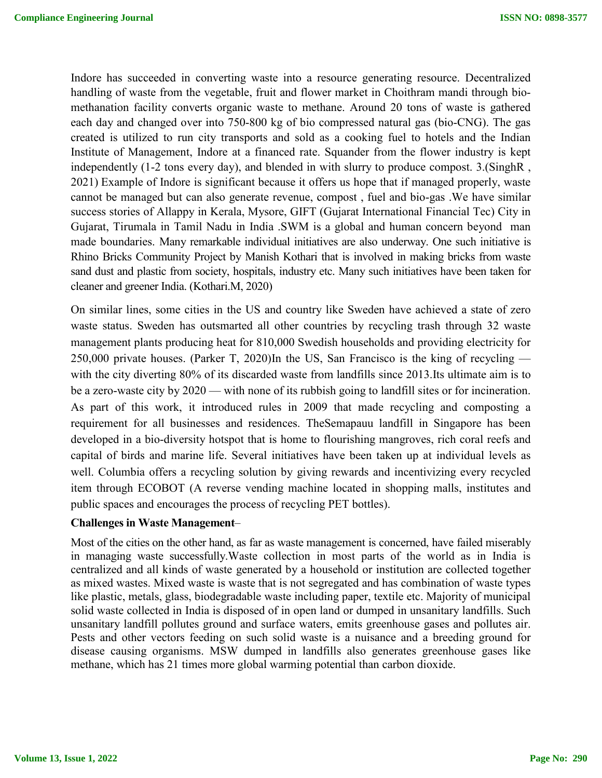Indore has succeeded in converting waste into a resource generating resource. Decentralized handling of waste from the vegetable, fruit and flower market in Choithram mandi through biomethanation facility converts organic waste to methane. Around 20 tons of waste is gathered each day and changed over into 750-800 kg of bio compressed natural gas (bio-CNG). The gas created is utilized to run city transports and sold as a cooking fuel to hotels and the Indian Institute of Management, Indore at a financed rate. Squander from the flower industry is kept independently (1-2 tons every day), and blended in with slurry to produce compost. 3.(SinghR , 2021) Example of Indore is significant because it offers us hope that if managed properly, waste cannot be managed but can also generate revenue, compost , fuel and bio-gas .We have similar success stories of Allappy in Kerala, Mysore, GIFT (Gujarat International Financial Tec) City in Gujarat, Tirumala in Tamil Nadu in India .SWM is a global and human concern beyond man made boundaries. Many remarkable individual initiatives are also underway. One such initiative is Rhino Bricks Community Project by Manish Kothari that is involved in making bricks from waste sand dust and plastic from society, hospitals, industry etc. Many such initiatives have been taken for cleaner and greener India. (Kothari.M, 2020)

On similar lines, some cities in the US and country like Sweden have achieved a state of zero waste status. Sweden has outsmarted all other countries by recycling trash through 32 waste management plants producing heat for 810,000 Swedish households and providing electricity for 250,000 private houses. (Parker T, 2020)In the US, San Francisco is the king of recycling with the city diverting 80% of its discarded waste from landfills since 2013.Its ultimate aim is to be a zero-waste city by 2020 — with none of its rubbish going to landfill sites or for incineration. As part of this work, it introduced rules in 2009 that made recycling and composting a requirement for all businesses and residences. TheSemapauu landfill in Singapore has been developed in a bio-diversity hotspot that is home to flourishing mangroves, rich coral reefs and capital of birds and marine life. Several initiatives have been taken up at individual levels as well. Columbia offers a recycling solution by giving rewards and incentivizing every recycled item through ECOBOT (A reverse vending machine located in shopping malls, institutes and public spaces and encourages the process of recycling PET bottles).

## **Challenges in Waste Management**–

Most of the cities on the other hand, as far as waste management is concerned, have failed miserably in managing waste successfully.Waste collection in most parts of the world as in India is centralized and all kinds of waste generated by a household or institution are collected together as mixed wastes. Mixed waste is waste that is not segregated and has combination of waste types like plastic, metals, glass, biodegradable waste including paper, textile etc. Majority of municipal solid waste collected in India is disposed of in open land or dumped in unsanitary landfills. Such unsanitary landfill pollutes ground and surface waters, emits greenhouse gases and pollutes air. Pests and other vectors feeding on such solid waste is a nuisance and a breeding ground for disease causing organisms. MSW dumped in landfills also generates greenhouse gases like methane, which has 21 times more global warming potential than carbon dioxide.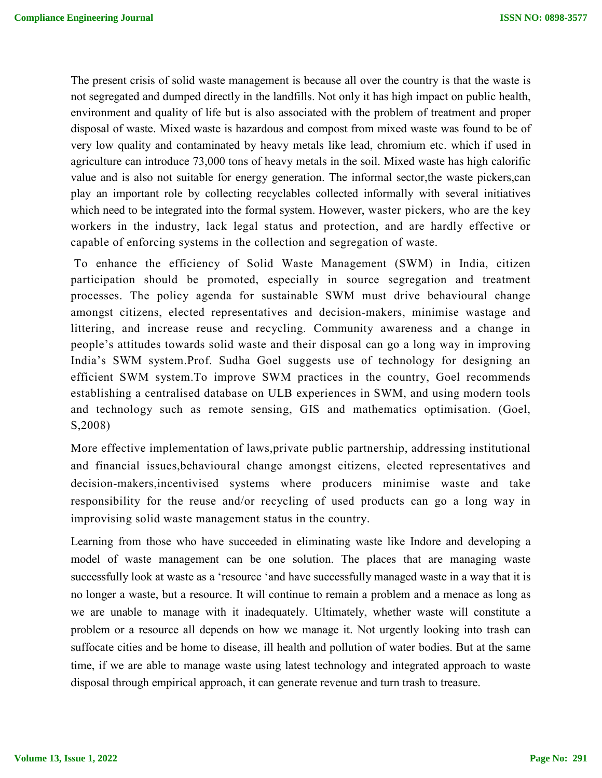The present crisis of solid waste management is because all over the country is that the waste is not segregated and dumped directly in the landfills. Not only it has high impact on public health, environment and quality of life but is also associated with the problem of treatment and proper disposal of waste. Mixed waste is hazardous and compost from mixed waste was found to be of very low quality and contaminated by heavy metals like lead, chromium etc. which if used in agriculture can introduce 73,000 tons of heavy metals in the soil. Mixed waste has high calorific value and is also not suitable for energy generation. The informal sector,the waste pickers,can play an important role by collecting recyclables collected informally with several initiatives which need to be integrated into the formal system. However, waster pickers, who are the key workers in the industry, lack legal status and protection, and are hardly effective or capable of enforcing systems in the collection and segregation of waste.

To enhance the efficiency of Solid Waste Management (SWM) in India, citizen participation should be promoted, especially in source segregation and treatment processes. The policy agenda for sustainable SWM must drive behavioural change amongst citizens, elected representatives and decision-makers, minimise wastage and littering, and increase reuse and recycling. Community awareness and a change in people's attitudes towards solid waste and their disposal can go a long way in improving India's SWM system.Prof. Sudha Goel suggests use of technology for designing an efficient SWM system.To improve SWM practices in the country, Goel recommends establishing a centralised database on ULB experiences in SWM, and using modern tools and technology such as remote sensing, GIS and mathematics optimisation. (Goel, S,2008)

More effective implementation of laws,private public partnership, addressing institutional and financial issues,behavioural change amongst citizens, elected representatives and decision-makers,incentivised systems where producers minimise waste and take responsibility for the reuse and/or recycling of used products can go a long way in improvising solid waste management status in the country.

Learning from those who have succeeded in eliminating waste like Indore and developing a model of waste management can be one solution. The places that are managing waste successfully look at waste as a 'resource 'and have successfully managed waste in a way that it is no longer a waste, but a resource. It will continue to remain a problem and a menace as long as we are unable to manage with it inadequately. Ultimately, whether waste will constitute a problem or a resource all depends on how we manage it. Not urgently looking into trash can suffocate cities and be home to disease, ill health and pollution of water bodies. But at the same time, if we are able to manage waste using latest technology and integrated approach to waste disposal through empirical approach, it can generate revenue and turn trash to treasure.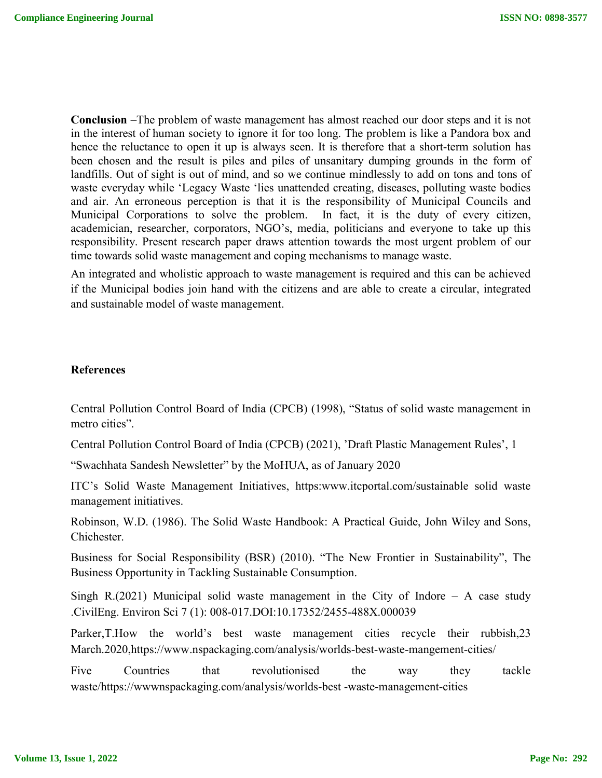**Conclusion** –The problem of waste management has almost reached our door steps and it is not in the interest of human society to ignore it for too long. The problem is like a Pandora box and hence the reluctance to open it up is always seen. It is therefore that a short-term solution has been chosen and the result is piles and piles of unsanitary dumping grounds in the form of landfills. Out of sight is out of mind, and so we continue mindlessly to add on tons and tons of waste everyday while 'Legacy Waste 'lies unattended creating, diseases, polluting waste bodies and air. An erroneous perception is that it is the responsibility of Municipal Councils and Municipal Corporations to solve the problem. In fact, it is the duty of every citizen, academician, researcher, corporators, NGO's, media, politicians and everyone to take up this responsibility. Present research paper draws attention towards the most urgent problem of our time towards solid waste management and coping mechanisms to manage waste.

An integrated and wholistic approach to waste management is required and this can be achieved if the Municipal bodies join hand with the citizens and are able to create a circular, integrated and sustainable model of waste management.

## **References**

Central Pollution Control Board of India (CPCB) (1998), "Status of solid waste management in metro cities".

Central Pollution Control Board of India (CPCB) (2021), 'Draft Plastic Management Rules', 1

"Swachhata Sandesh Newsletter" by the MoHUA, as of January 2020

ITC's Solid Waste Management Initiatives, https:www.itcportal.com/sustainable solid waste management initiatives.

Robinson, W.D. (1986). The Solid Waste Handbook: A Practical Guide, John Wiley and Sons, Chichester.

Business for Social Responsibility (BSR) (2010). "The New Frontier in Sustainability", The Business Opportunity in Tackling Sustainable Consumption.

Singh R.(2021) Municipal solid waste management in the City of Indore – A case study .CivilEng. Environ Sci 7 (1): 008-017.DOI:10.17352/2455-488X.000039

Parker,T.How the world's best waste management cities recycle their rubbish,23 March.2020,https://www.nspackaging.com/analysis/worlds-best-waste-mangement-cities/

Five Countries that revolutionised the way they tackle waste/https://wwwnspackaging.com/analysis/worlds-best -waste-management-cities